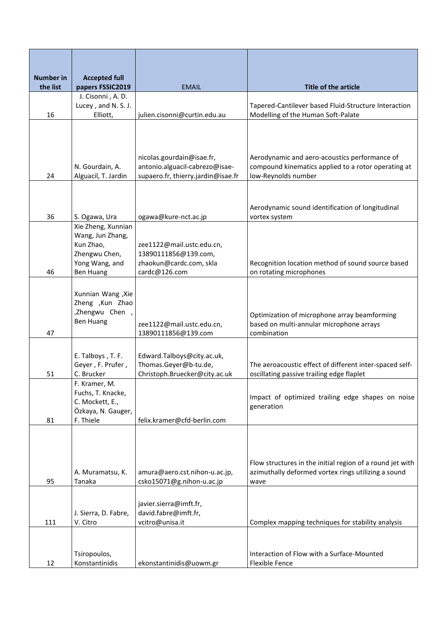| <b>Number in</b><br>the list | <b>Accepted full</b><br>papers FSSIC2019                                                                   | <b>EMAIL</b>                                                                                      | <b>Title of the article</b>                                                                                                 |
|------------------------------|------------------------------------------------------------------------------------------------------------|---------------------------------------------------------------------------------------------------|-----------------------------------------------------------------------------------------------------------------------------|
| 16                           | J. Cisonni, A. D.<br>Lucey, and N.S.J.<br>Elliott,                                                         | julien.cisonni@curtin.edu.au                                                                      | Tapered-Cantilever based Fluid-Structure Interaction<br>Modelling of the Human Soft-Palate                                  |
|                              |                                                                                                            |                                                                                                   |                                                                                                                             |
| 24                           | N. Gourdain, A.<br>Alguacil, T. Jardin                                                                     | nicolas.gourdain@isae.fr,<br>antonio.alguacil-cabrezo@isae-<br>supaero.fr, thierry.jardin@isae.fr | Aerodynamic and aero-acoustics performance of<br>compound kinematics applied to a rotor operating at<br>low-Reynolds number |
|                              |                                                                                                            |                                                                                                   |                                                                                                                             |
| 36                           | S. Ogawa, Ura                                                                                              | ogawa@kure-nct.ac.jp                                                                              | Aerodynamic sound identification of longitudinal<br>vortex system                                                           |
| 46                           | Xie Zheng, Xunnian<br>Wang, Jun Zhang,<br>Kun Zhao,<br>Zhengwu Chen,<br>Yong Wang, and<br><b>Ben Huang</b> | zee1122@mail.ustc.edu.cn,<br>13890111856@139.com,<br>zhaokun@cardc.com, skla<br>cardc@126.com     | Recognition location method of sound source based<br>on rotating microphones                                                |
| 47                           | Xunnian Wang, Xie<br>Zheng , Kun Zhao<br>, Zhengwu Chen,<br><b>Ben Huang</b>                               | zee1122@mail.ustc.edu.cn,<br>13890111856@139.com                                                  | Optimization of microphone array beamforming<br>based on multi-annular microphone arrays<br>combination                     |
| 51                           | E. Talboys, T. F.<br>Geyer, F. Prufer,<br>C. Brucker                                                       | Edward.Talboys@city.ac.uk,<br>Thomas.Geyer@b-tu.de,<br>Christoph.Bruecker@city.ac.uk              | The aeroacoustic effect of different inter-spaced self-<br>oscillating passive trailing edge flaplet                        |
| 81                           | F. Kramer, M.<br>Fuchs, T. Knacke,<br>C. Mockett, E.,<br>Özkaya, N. Gauger,<br>F. Thiele                   | felix.kramer@cfd-berlin.com                                                                       | Impact of optimized trailing edge shapes on noise<br>generation                                                             |
| 95                           | A. Muramatsu, K.<br>Tanaka                                                                                 | amura@aero.cst.nihon-u.ac.jp,<br>csko15071@g.nihon-u.ac.jp                                        | Flow structures in the initial region of a round jet with<br>azimuthally deformed vortex rings utilizing a sound<br>wave    |
| 111                          | J. Sierra, D. Fabre,<br>V. Citro                                                                           | javier.sierra@imft.fr,<br>david.fabre@imft.fr,<br>vcitro@unisa.it                                 | Complex mapping techniques for stability analysis                                                                           |
| 12                           | Tsiropoulos,<br>Konstantinidis                                                                             | ekonstantinidis@uowm.gr                                                                           | Interaction of Flow with a Surface-Mounted<br>Flexible Fence                                                                |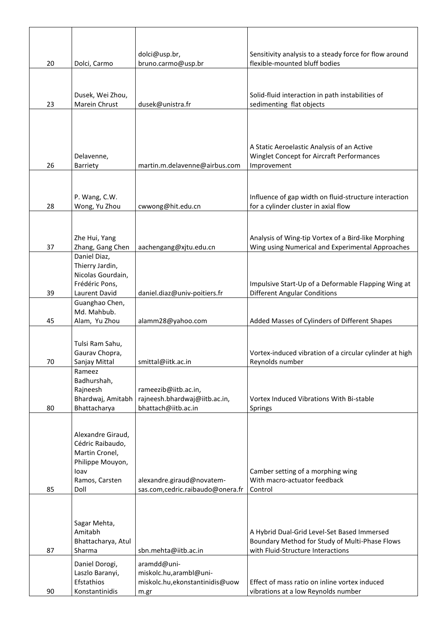|    |                                    | dolci@usp.br,                                        | Sensitivity analysis to a steady force for flow around                                        |
|----|------------------------------------|------------------------------------------------------|-----------------------------------------------------------------------------------------------|
| 20 | Dolci, Carmo                       | bruno.carmo@usp.br                                   | flexible-mounted bluff bodies                                                                 |
|    |                                    |                                                      |                                                                                               |
|    | Dusek, Wei Zhou,                   |                                                      | Solid-fluid interaction in path instabilities of                                              |
| 23 | Marein Chrust                      | dusek@unistra.fr                                     | sedimenting flat objects                                                                      |
|    |                                    |                                                      |                                                                                               |
|    |                                    |                                                      |                                                                                               |
|    |                                    |                                                      | A Static Aeroelastic Analysis of an Active                                                    |
| 26 | Delavenne,<br><b>Barriety</b>      | martin.m.delavenne@airbus.com                        | Winglet Concept for Aircraft Performances<br>Improvement                                      |
|    |                                    |                                                      |                                                                                               |
|    |                                    |                                                      |                                                                                               |
| 28 | P. Wang, C.W.<br>Wong, Yu Zhou     | cwwong@hit.edu.cn                                    | Influence of gap width on fluid-structure interaction<br>for a cylinder cluster in axial flow |
|    |                                    |                                                      |                                                                                               |
|    | Zhe Hui, Yang                      |                                                      | Analysis of Wing-tip Vortex of a Bird-like Morphing                                           |
| 37 | Zhang, Gang Chen                   | aachengang@xjtu.edu.cn                               | Wing using Numerical and Experimental Approaches                                              |
|    | Daniel Diaz,<br>Thierry Jardin,    |                                                      |                                                                                               |
|    | Nicolas Gourdain,                  |                                                      |                                                                                               |
| 39 | Frédéric Pons,<br>Laurent David    | daniel.diaz@univ-poitiers.fr                         | Impulsive Start-Up of a Deformable Flapping Wing at<br><b>Different Angular Conditions</b>    |
|    | Guanghao Chen,                     |                                                      |                                                                                               |
| 45 | Md. Mahbub.<br>Alam, Yu Zhou       | alamm28@yahoo.com                                    | Added Masses of Cylinders of Different Shapes                                                 |
|    |                                    |                                                      |                                                                                               |
|    | Tulsi Ram Sahu,<br>Gaurav Chopra,  |                                                      | Vortex-induced vibration of a circular cylinder at high                                       |
| 70 | Sanjay Mittal                      | smittal@iitk.ac.in                                   | Reynolds number                                                                               |
|    | Rameez<br>Badhurshah,              |                                                      |                                                                                               |
|    | Rajneesh                           | rameezib@iitb.ac.in,                                 |                                                                                               |
| 80 | Bhardwaj, Amitabh<br>Bhattacharya  | rajneesh.bhardwaj@iitb.ac.in,<br>bhattach@iitb.ac.in | Vortex Induced Vibrations With Bi-stable<br><b>Springs</b>                                    |
|    |                                    |                                                      |                                                                                               |
|    | Alexandre Giraud,                  |                                                      |                                                                                               |
|    | Cédric Raibaudo,<br>Martin Cronel, |                                                      |                                                                                               |
|    | Philippe Mouyon,                   |                                                      |                                                                                               |
|    | loav<br>Ramos, Carsten             | alexandre.giraud@novatem-                            | Camber setting of a morphing wing<br>With macro-actuator feedback                             |
| 85 | Doll                               | sas.com, cedric.raibaudo@onera.fr                    | Control                                                                                       |
|    |                                    |                                                      |                                                                                               |
|    | Sagar Mehta,                       |                                                      |                                                                                               |
|    | Amitabh                            |                                                      | A Hybrid Dual-Grid Level-Set Based Immersed                                                   |
| 87 | Bhattacharya, Atul<br>Sharma       | sbn.mehta@iitb.ac.in                                 | Boundary Method for Study of Multi-Phase Flows<br>with Fluid-Structure Interactions           |
|    | Daniel Dorogi,                     | aramdd@uni-                                          |                                                                                               |
|    | Laszlo Baranyi,                    | miskolc.hu,arambl@uni-                               |                                                                                               |
| 90 | Efstathios<br>Konstantinidis       | miskolc.hu, ekonstantinidis@uow<br>m.gr              | Effect of mass ratio on inline vortex induced<br>vibrations at a low Reynolds number          |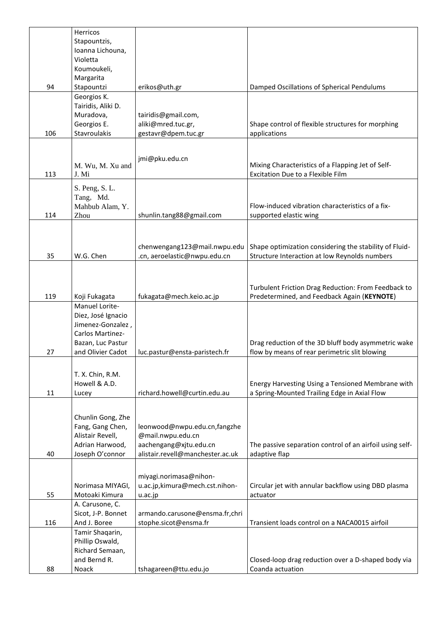|     | Herricos           |                                  |                                                          |
|-----|--------------------|----------------------------------|----------------------------------------------------------|
|     | Stapountzis,       |                                  |                                                          |
|     | Ioanna Lichouna,   |                                  |                                                          |
|     | Violetta           |                                  |                                                          |
|     | Koumoukeli,        |                                  |                                                          |
|     | Margarita          |                                  |                                                          |
| 94  | Stapountzi         | erikos@uth.gr                    | Damped Oscillations of Spherical Pendulums               |
|     | Georgios K.        |                                  |                                                          |
|     | Tairidis, Aliki D. |                                  |                                                          |
|     | Muradova,          | tairidis@gmail.com,              |                                                          |
|     | Georgios E.        | aliki@mred.tuc.gr,               | Shape control of flexible structures for morphing        |
| 106 | Stavroulakis       | gestavr@dpem.tuc.gr              | applications                                             |
|     |                    |                                  |                                                          |
|     |                    | jmi@pku.edu.cn                   |                                                          |
|     | M. Wu, M. Xu and   |                                  | Mixing Characteristics of a Flapping Jet of Self-        |
| 113 | J. Mi              |                                  | Excitation Due to a Flexible Film                        |
|     | S. Peng, S. L.     |                                  |                                                          |
|     | Tang, Md.          |                                  |                                                          |
|     | Mahbub Alam, Y.    |                                  | Flow-induced vibration characteristics of a fix-         |
| 114 | Zhou               | shunlin.tang88@gmail.com         | supported elastic wing                                   |
|     |                    |                                  |                                                          |
|     |                    |                                  |                                                          |
|     |                    |                                  |                                                          |
|     |                    | chenwengang123@mail.nwpu.edu     | Shape optimization considering the stability of Fluid-   |
| 35  | W.G. Chen          | .cn, aeroelastic@nwpu.edu.cn     | Structure Interaction at low Reynolds numbers            |
|     |                    |                                  |                                                          |
|     |                    |                                  |                                                          |
|     |                    |                                  | Turbulent Friction Drag Reduction: From Feedback to      |
| 119 | Koji Fukagata      | fukagata@mech.keio.ac.jp         | Predetermined, and Feedback Again (KEYNOTE)              |
|     | Manuel Lorite-     |                                  |                                                          |
|     | Diez, José Ignacio |                                  |                                                          |
|     | Jimenez-Gonzalez,  |                                  |                                                          |
|     | Carlos Martinez-   |                                  |                                                          |
| 27  | Bazan, Luc Pastur  |                                  | Drag reduction of the 3D bluff body asymmetric wake      |
|     | and Olivier Cadot  | luc.pastur@ensta-paristech.fr    | flow by means of rear perimetric slit blowing            |
|     |                    |                                  |                                                          |
|     | T. X. Chin, R.M.   |                                  |                                                          |
|     | Howell & A.D.      |                                  | Energy Harvesting Using a Tensioned Membrane with        |
| 11  | Lucey              | richard.howell@curtin.edu.au     | a Spring-Mounted Trailing Edge in Axial Flow             |
|     |                    |                                  |                                                          |
|     | Chunlin Gong, Zhe  |                                  |                                                          |
|     | Fang, Gang Chen,   | leonwood@nwpu.edu.cn,fangzhe     |                                                          |
|     | Alistair Revell,   | @mail.nwpu.edu.cn                |                                                          |
|     | Adrian Harwood,    | aachengang@xjtu.edu.cn           | The passive separation control of an airfoil using self- |
| 40  | Joseph O'connor    | alistair.revell@manchester.ac.uk | adaptive flap                                            |
|     |                    |                                  |                                                          |
|     |                    | miyagi.norimasa@nihon-           |                                                          |
|     | Norimasa MIYAGI,   | u.ac.jp,kimura@mech.cst.nihon-   | Circular jet with annular backflow using DBD plasma      |
| 55  | Motoaki Kimura     | u.ac.jp                          | actuator                                                 |
|     | A. Carusone, C.    |                                  |                                                          |
|     | Sicot, J-P. Bonnet | armando.carusone@ensma.fr,chri   |                                                          |
| 116 | And J. Boree       | stophe.sicot@ensma.fr            | Transient loads control on a NACA0015 airfoil            |
|     | Tamir Shaqarin,    |                                  |                                                          |
|     | Phillip Oswald,    |                                  |                                                          |
|     | Richard Semaan,    |                                  |                                                          |
|     | and Bernd R.       |                                  | Closed-loop drag reduction over a D-shaped body via      |
| 88  | Noack              | tshagareen@ttu.edu.jo            | Coanda actuation                                         |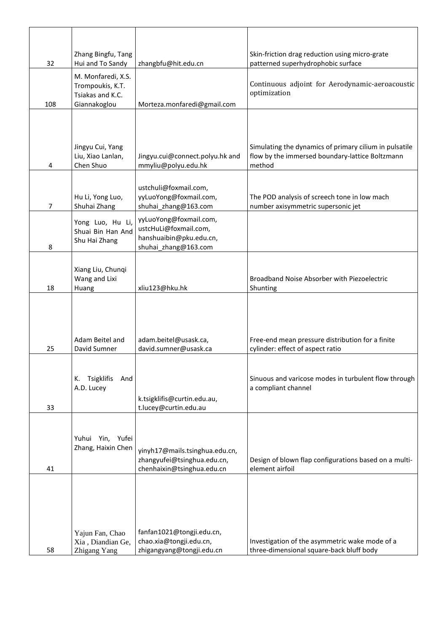| 32             | Zhang Bingfu, Tang<br>Hui and To Sandy                                     | zhangbfu@hit.edu.cn                                                                                | Skin-friction drag reduction using micro-grate<br>patterned superhydrophobic surface                                |
|----------------|----------------------------------------------------------------------------|----------------------------------------------------------------------------------------------------|---------------------------------------------------------------------------------------------------------------------|
| 108            | M. Monfaredi, X.S.<br>Trompoukis, K.T.<br>Tsiakas and K.C.<br>Giannakoglou | Morteza.monfaredi@gmail.com                                                                        | Continuous adjoint for Aerodynamic-aeroacoustic<br>optimization                                                     |
|                |                                                                            |                                                                                                    |                                                                                                                     |
| 4              | Jingyu Cui, Yang<br>Liu, Xiao Lanlan,<br>Chen Shuo                         | Jingyu.cui@connect.polyu.hk and<br>mmyliu@polyu.edu.hk                                             | Simulating the dynamics of primary cilium in pulsatile<br>flow by the immersed boundary-lattice Boltzmann<br>method |
| $\overline{7}$ | Hu Li, Yong Luo,<br>Shuhai Zhang                                           | ustchuli@foxmail.com,<br>yyLuoYong@foxmail.com,<br>shuhai_zhang@163.com                            | The POD analysis of screech tone in low mach<br>number axisymmetric supersonic jet                                  |
| 8              | Yong Luo, Hu Li,<br>Shuai Bin Han And<br>Shu Hai Zhang                     | yyLuoYong@foxmail.com,<br>ustcHuLi@foxmail.com,<br>hanshuaibin@pku.edu.cn,<br>shuhai_zhang@163.com |                                                                                                                     |
| 18             | Xiang Liu, Chunqi<br>Wang and Lixi<br>Huang                                | xliu123@hku.hk                                                                                     | Broadband Noise Absorber with Piezoelectric<br>Shunting                                                             |
|                |                                                                            |                                                                                                    |                                                                                                                     |
| 25             | Adam Beitel and<br>David Sumner                                            | adam.beitel@usask.ca,<br>david.sumner@usask.ca                                                     | Free-end mean pressure distribution for a finite<br>cylinder: effect of aspect ratio                                |
| 33             | Tsigklifis<br>And<br>к.<br>A.D. Lucey                                      | k.tsigklifis@curtin.edu.au,<br>t.lucey@curtin.edu.au                                               | Sinuous and varicose modes in turbulent flow through<br>a compliant channel                                         |
| 41             | Yuhui Yin, Yufei<br>Zhang, Haixin Chen                                     | yinyh17@mails.tsinghua.edu.cn,<br>zhangyufei@tsinghua.edu.cn,<br>chenhaixin@tsinghua.edu.cn        | Design of blown flap configurations based on a multi-<br>element airfoil                                            |
| 58             | Yajun Fan, Chao<br>Xia, Diandian Ge,<br>Zhigang Yang                       | fanfan1021@tongji.edu.cn,<br>chao.xia@tongji.edu.cn,<br>zhigangyang@tongji.edu.cn                  | Investigation of the asymmetric wake mode of a<br>three-dimensional square-back bluff body                          |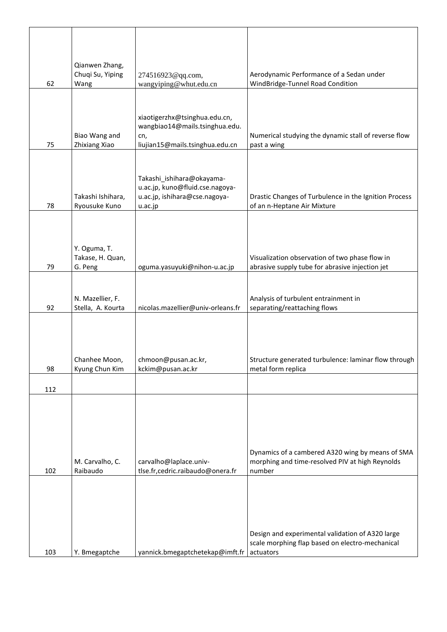|     | Qianwen Zhang,                     |                                                                  |                                                                                                     |
|-----|------------------------------------|------------------------------------------------------------------|-----------------------------------------------------------------------------------------------------|
| 62  | Chuqi Su, Yiping<br>Wang           | 274516923@qq.com,<br>wangyiping@whut.edu.cn                      | Aerodynamic Performance of a Sedan under<br>WindBridge-Tunnel Road Condition                        |
|     |                                    |                                                                  |                                                                                                     |
|     |                                    | xiaotigerzhx@tsinghua.edu.cn,                                    |                                                                                                     |
|     | Biao Wang and                      | wangbiao14@mails.tsinghua.edu.<br>cn,                            | Numerical studying the dynamic stall of reverse flow                                                |
| 75  | Zhixiang Xiao                      | liujian15@mails.tsinghua.edu.cn                                  | past a wing                                                                                         |
|     |                                    | Takashi_ishihara@okayama-                                        |                                                                                                     |
|     |                                    | u.ac.jp, kuno@fluid.cse.nagoya-<br>u.ac.jp, ishihara@cse.nagoya- |                                                                                                     |
| 78  | Takashi Ishihara,<br>Ryousuke Kuno | u.ac.jp                                                          | Drastic Changes of Turbulence in the Ignition Process<br>of an n-Heptane Air Mixture                |
|     |                                    |                                                                  |                                                                                                     |
|     | Y. Oguma, T.                       |                                                                  |                                                                                                     |
|     | Takase, H. Quan,                   |                                                                  | Visualization observation of two phase flow in                                                      |
| 79  | G. Peng                            | oguma.yasuyuki@nihon-u.ac.jp                                     | abrasive supply tube for abrasive injection jet                                                     |
|     | N. Mazellier, F.                   |                                                                  | Analysis of turbulent entrainment in                                                                |
| 92  | Stella, A. Kourta                  | nicolas.mazellier@univ-orleans.fr                                | separating/reattaching flows                                                                        |
|     |                                    |                                                                  |                                                                                                     |
|     |                                    |                                                                  |                                                                                                     |
| 98  | Chanhee Moon,<br>Kyung Chun Kim    | chmoon@pusan.ac.kr,<br>kckim@pusan.ac.kr                         | Structure generated turbulence: laminar flow through<br>metal form replica                          |
|     |                                    |                                                                  |                                                                                                     |
| 112 |                                    |                                                                  |                                                                                                     |
|     |                                    |                                                                  |                                                                                                     |
|     |                                    |                                                                  |                                                                                                     |
|     |                                    |                                                                  | Dynamics of a cambered A320 wing by means of SMA                                                    |
| 102 | M. Carvalho, C.<br>Raibaudo        | carvalho@laplace.univ-<br>tlse.fr,cedric.raibaudo@onera.fr       | morphing and time-resolved PIV at high Reynolds<br>number                                           |
|     |                                    |                                                                  |                                                                                                     |
|     |                                    |                                                                  |                                                                                                     |
|     |                                    |                                                                  |                                                                                                     |
|     |                                    |                                                                  | Design and experimental validation of A320 large<br>scale morphing flap based on electro-mechanical |
| 103 | Y. Bmegaptche                      | yannick.bmegaptchetekap@imft.fr                                  | actuators                                                                                           |